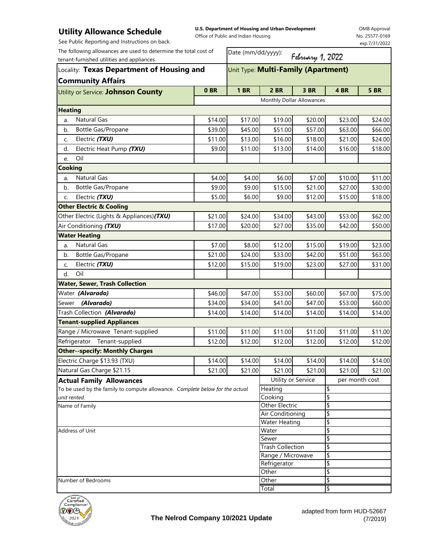## **Utility Allowance Schedule** See Public Reporting and Instructions on back.

**U.S. Department of Housing and Urban Development**  Office of Public and Indian Housing

OMB Approval No. 25577-0169 exp.7/31/2022

| The following allowances are used to determine the total cost of<br>tenant-furnished utilities and appliances.<br>Locality: Texas Department of Housing and<br><b>Community Affairs</b> |               | Date (mm/dd/yyyy):<br>February 1, 2022 |                           |             |                |         |      |                                     |
|-----------------------------------------------------------------------------------------------------------------------------------------------------------------------------------------|---------------|----------------------------------------|---------------------------|-------------|----------------|---------|------|-------------------------------------|
|                                                                                                                                                                                         |               |                                        |                           |             |                |         |      | Unit Type: Multi-Family (Apartment) |
|                                                                                                                                                                                         |               | Utility or Service: Johnson County     | 0 <sub>BR</sub>           | <b>1 BR</b> | 2 BR           | 3 BR    | 4 BR | <b>5 BR</b>                         |
|                                                                                                                                                                                         |               |                                        | Monthly Dollar Allowances |             |                |         |      |                                     |
| <b>Heating</b>                                                                                                                                                                          |               |                                        |                           |             |                |         |      |                                     |
| <b>Natural Gas</b><br>a.                                                                                                                                                                | \$14.00       | \$17.00                                | \$19.00                   | \$20.00     | \$23.00        | \$24.00 |      |                                     |
| Bottle Gas/Propane<br>b.                                                                                                                                                                | \$39.00       | \$45.00                                | \$51.00                   | \$57.00     | \$63.00        | \$66.00 |      |                                     |
| Electric (TXU)<br>C.                                                                                                                                                                    | \$11.00       | \$13.00                                | \$16.00                   | \$18.00     | \$21.00        | \$24.00 |      |                                     |
| Electric Heat Pump (TXU)<br>d.                                                                                                                                                          | \$9.00        | \$11.00                                | \$13.00                   | \$14.00     | \$16.00        | \$18.00 |      |                                     |
| Oil<br>e.                                                                                                                                                                               |               |                                        |                           |             |                |         |      |                                     |
| <b>Cooking</b>                                                                                                                                                                          |               |                                        |                           |             |                |         |      |                                     |
| <b>Natural Gas</b><br>a.                                                                                                                                                                | \$4.00        | \$4.00                                 | \$6.00                    | \$7.00      | \$10.00        | \$11.00 |      |                                     |
| Bottle Gas/Propane<br>b.                                                                                                                                                                | \$9.00        | \$9.00                                 | \$15.00                   | \$21.00     | \$27.00        | \$30.00 |      |                                     |
| Electric (TXU)<br>C.                                                                                                                                                                    | \$5.00        | \$6.00                                 | \$9.00                    | \$12.00     | \$15.00        | \$18.00 |      |                                     |
| <b>Other Electric &amp; Cooling</b>                                                                                                                                                     |               |                                        |                           |             |                |         |      |                                     |
| Other Electric (Lights & Appliances) (TXU)                                                                                                                                              | \$21.00       | \$24.00                                | \$34.00                   | \$43.00     | \$53.00        | \$62.00 |      |                                     |
| Air Conditioning (TXU)                                                                                                                                                                  | \$17.00       | \$20.00                                | \$27.00                   | \$35.00     | \$42.00        | \$50.00 |      |                                     |
| <b>Water Heating</b>                                                                                                                                                                    |               |                                        |                           |             |                |         |      |                                     |
| <b>Natural Gas</b><br>a.                                                                                                                                                                | \$7.00        | \$8.00                                 | \$12.00                   | \$15.00     | \$19.00        | \$23.00 |      |                                     |
| Bottle Gas/Propane<br>b.                                                                                                                                                                | \$21.00       | \$24.00                                | \$33.00                   | \$42.00     | \$51.00        | \$63.00 |      |                                     |
| Electric (TXU)<br>C.                                                                                                                                                                    | \$12.00       | \$15.00                                | \$19.00                   | \$23.00     | \$27.00        | \$31.00 |      |                                     |
| Oil<br>d.                                                                                                                                                                               |               |                                        |                           |             |                |         |      |                                     |
| <b>Water, Sewer, Trash Collection</b>                                                                                                                                                   |               |                                        |                           |             |                |         |      |                                     |
| Water (Alvarado)                                                                                                                                                                        | \$46.00       | \$47.00                                | \$53.00                   | \$60.00     | \$67.00        | \$75.00 |      |                                     |
| Sewer (Alvarado)                                                                                                                                                                        | \$34.00       | \$34.00                                | \$41.00                   | \$47.00     | \$53.00        | \$60.00 |      |                                     |
| Trash Collection (Alvarado)                                                                                                                                                             | \$14.00       | \$14.00                                | \$14.00                   | \$14.00     | \$14.00        | \$14.00 |      |                                     |
| <b>Tenant-supplied Appliances</b>                                                                                                                                                       |               |                                        |                           |             |                |         |      |                                     |
| Range / Microwave Tenant-supplied                                                                                                                                                       | \$11.00       | \$11.00                                | \$11.00                   | \$11.00     | \$11.00        | \$11.00 |      |                                     |
| Refrigerator Tenant-supplied                                                                                                                                                            | \$12.00       | \$12.00                                | \$12.00                   | \$12.00     | \$12.00        | \$12.00 |      |                                     |
| <b>Other--specify: Monthly Charges</b>                                                                                                                                                  |               |                                        |                           |             |                |         |      |                                     |
| Electric Charge \$13.93 (TXU)                                                                                                                                                           | \$14.00       | \$14.00                                | \$14.00                   | \$14.00     | \$14.00        | \$14.00 |      |                                     |
| Natural Gas Charge \$21.15                                                                                                                                                              | \$21.00       | \$21.00                                | \$21.00                   | \$21.00     | \$21.00        | \$21.00 |      |                                     |
| <b>Actual Family Allowances</b>                                                                                                                                                         |               |                                        | Utility or Service        |             | per month cost |         |      |                                     |
| To be used by the family to compute allowance. Complete below for the actual                                                                                                            |               |                                        | Heating                   |             | \$             |         |      |                                     |
| unit rented.                                                                                                                                                                            |               |                                        | Cooking                   |             | \$             |         |      |                                     |
| Name of Family                                                                                                                                                                          |               |                                        | Other Electric            |             | \$             |         |      |                                     |
|                                                                                                                                                                                         |               | Air Conditioning                       |                           | \$          |                |         |      |                                     |
|                                                                                                                                                                                         | Water Heating |                                        | \$                        |             |                |         |      |                                     |
| Address of Unit                                                                                                                                                                         |               |                                        | Water<br>Sewer            |             | \$<br>\$       |         |      |                                     |
|                                                                                                                                                                                         |               |                                        | <b>Trash Collection</b>   |             | \$             |         |      |                                     |
|                                                                                                                                                                                         |               | Range / Microwave                      |                           | \$          |                |         |      |                                     |
|                                                                                                                                                                                         |               | Refrigerator                           |                           | \$          |                |         |      |                                     |
|                                                                                                                                                                                         |               |                                        | Other                     |             | \$             |         |      |                                     |
| Number of Bedrooms                                                                                                                                                                      |               |                                        | Other                     |             | \$             |         |      |                                     |
|                                                                                                                                                                                         |               |                                        | Total                     |             | l\$            |         |      |                                     |